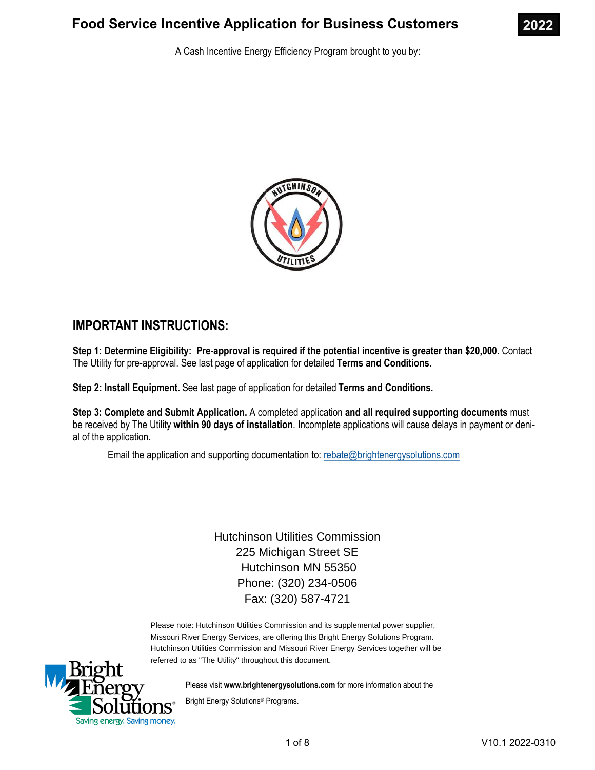

A Cash Incentive Energy Efficiency Program brought to you by:



## IMPORTANT INSTRUCTIONS:

Step 1: Determine Eligibility: Pre-approval is required if the potential incentive is greater than \$20,000. Contact The Utility for pre-approval. See last page of application for detailed Terms and Conditions.

Step 2: Install Equipment. See last page of application for detailed Terms and Conditions.

Step 3: Complete and Submit Application. A completed application and all required supporting documents must be received by The Utility within 90 days of installation. Incomplete applications will cause delays in payment or denial of the application.

Email the application and supporting documentation to: rebate@brightenergysolutions.com

Hutchinson Utilities Commission 225 Michigan Street SE Hutchinson MN 55350 Phone: (320) 234-0506 Fax: (320) 587-4721

Please note: Hutchinson Utilities Commission and its supplemental power supplier, Missouri River Energy Services, are offering this Bright Energy Solutions Program. Hutchinson Utilities Commission and Missouri River Energy Services together will be referred to as "The Utility" throughout this document.



Please visit www.brightenergysolutions.com for more information about the Bright Energy Solutions® Programs.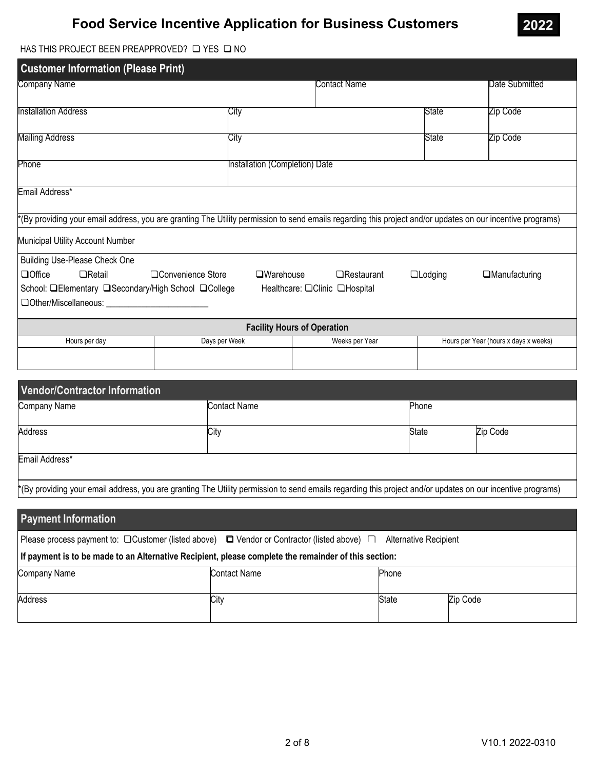

## HAS THIS PROJECT BEEN PREAPPROVED?  $\Box$  YES  $\Box$  NO

| <b>Customer Information (Please Print)</b>                                                                           |                                                                                                                                                            |                                    |                                                    |                |                                       |
|----------------------------------------------------------------------------------------------------------------------|------------------------------------------------------------------------------------------------------------------------------------------------------------|------------------------------------|----------------------------------------------------|----------------|---------------------------------------|
| Company Name                                                                                                         |                                                                                                                                                            |                                    | Contact Name                                       |                | Date Submitted                        |
| <b>Installation Address</b>                                                                                          | City                                                                                                                                                       |                                    |                                                    | <b>State</b>   | Zip Code                              |
| <b>Mailing Address</b>                                                                                               | City                                                                                                                                                       |                                    |                                                    | State          | Zip Code                              |
| Phone                                                                                                                |                                                                                                                                                            | Installation (Completion) Date     |                                                    |                |                                       |
| Email Address*                                                                                                       |                                                                                                                                                            |                                    |                                                    |                |                                       |
|                                                                                                                      | *(By providing your email address, you are granting The Utility permission to send emails regarding this project and/or updates on our incentive programs) |                                    |                                                    |                |                                       |
| Municipal Utility Account Number                                                                                     |                                                                                                                                                            |                                    |                                                    |                |                                       |
| <b>Building Use-Please Check One</b>                                                                                 |                                                                                                                                                            |                                    |                                                    |                |                                       |
| $\Box$ Office<br>$\Box$ Retail<br>School: □Elementary □Secondary/High School □College<br>$\Box$ Other/Miscellaneous: | □Convenience Store                                                                                                                                         | $\square$ Warehouse                | $\Box$ Restaurant<br>Healthcare: □Clinic □Hospital | $\Box$ Lodging | $\Box$ Manufacturing                  |
|                                                                                                                      |                                                                                                                                                            | <b>Facility Hours of Operation</b> |                                                    |                |                                       |
| Hours per day                                                                                                        | Days per Week                                                                                                                                              |                                    | Weeks per Year                                     |                | Hours per Year (hours x days x weeks) |
|                                                                                                                      |                                                                                                                                                            |                                    |                                                    |                |                                       |

| <b>Vendor/Contractor Information</b> |                                                                                                                                                            |       |          |  |
|--------------------------------------|------------------------------------------------------------------------------------------------------------------------------------------------------------|-------|----------|--|
| Company Name                         | <b>Contact Name</b>                                                                                                                                        | Phone |          |  |
| <b>Address</b>                       | City                                                                                                                                                       | State | Zip Code |  |
| Email Address*                       |                                                                                                                                                            |       |          |  |
|                                      | *(By providing your email address, you are granting The Utility permission to send emails regarding this project and/or updates on our incentive programs) |       |          |  |

| <b>Payment Information</b>                                                                                                    |              |       |          |  |  |
|-------------------------------------------------------------------------------------------------------------------------------|--------------|-------|----------|--|--|
| Please process payment to: $\Box$ Customer (listed above) $\Box$ Vendor or Contractor (listed above)<br>Alternative Recipient |              |       |          |  |  |
| If payment is to be made to an Alternative Recipient, please complete the remainder of this section:                          |              |       |          |  |  |
| Company Name                                                                                                                  | Contact Name | Phone |          |  |  |
| <b>Address</b>                                                                                                                | City         | State | Zip Code |  |  |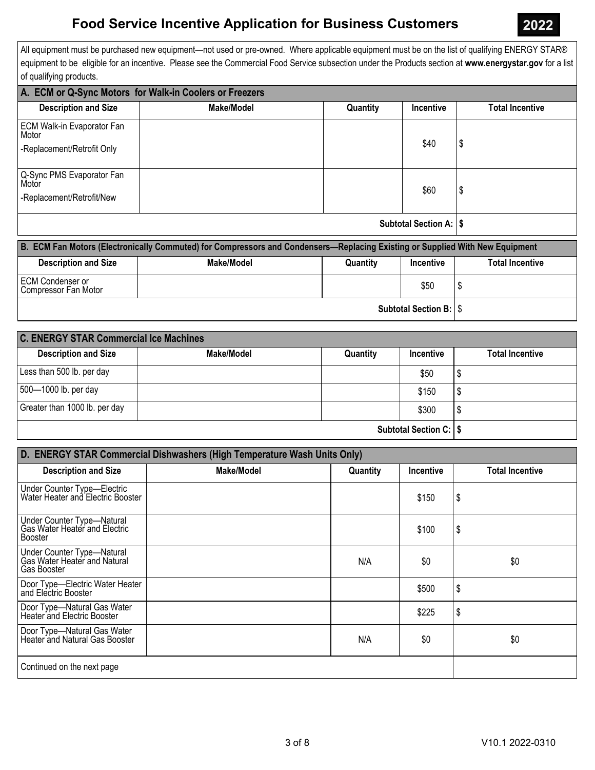All equipment must be purchased new equipment—not used or pre-owned. Where applicable equipment must be on the list of qualifying ENERGY STAR® equipment to be eligible for an incentive. Please see the Commercial Food Service subsection under the Products section at www.energystar.gov for a list of qualifying products.

| A. ECM or Q-Sync Motors for Walk-in Coolers or Freezers |                   |          |                  |                        |
|---------------------------------------------------------|-------------------|----------|------------------|------------------------|
| <b>Description and Size</b>                             | <b>Make/Model</b> | Quantity | <b>Incentive</b> | <b>Total Incentive</b> |
| ECM Walk-in Evaporator Fan<br>  Motor                   |                   |          |                  |                        |
| -Replacement/Retrofit Only                              |                   |          | \$40             | \$                     |
| Q-Sync PMS Evaporator Fan<br>Motor                      |                   |          | \$60             | \$                     |
| -Replacement/Retrofit/New                               |                   |          |                  |                        |
| <b>Subtotal Section A:   \$</b>                         |                   |          |                  |                        |

| B. ECM Fan Motors (Electronically Commuted) for Compressors and Condensers—Replacing Existing or Supplied With New Equipment |            |          |                  |                        |
|------------------------------------------------------------------------------------------------------------------------------|------------|----------|------------------|------------------------|
| <b>Description and Size</b>                                                                                                  | Make/Model | Quantity | <b>Incentive</b> | <b>Total Incentive</b> |
| <b>ECM Condenser or</b><br>Compressor Fan Motor                                                                              |            |          | \$50             |                        |
| <b>Subtotal Section B:   \$</b>                                                                                              |            |          |                  |                        |

| <b>C. ENERGY STAR Commercial Ice Machines</b> |            |          |                  |                        |
|-----------------------------------------------|------------|----------|------------------|------------------------|
| <b>Description and Size</b>                   | Make/Model | Quantity | <b>Incentive</b> | <b>Total Incentive</b> |
| Less than 500 lb. per day                     |            |          | \$50             |                        |
| 500-1000 lb. per day                          |            |          | \$150            |                        |
| Greater than 1000 lb. per day                 |            |          | \$300            |                        |
| <b>Subtotal Section C:   \$</b>               |            |          |                  |                        |

| D. ENERGY STAR Commercial Dishwashers (High Temperature Wash Units Only)         |            |          |           |                        |
|----------------------------------------------------------------------------------|------------|----------|-----------|------------------------|
| <b>Description and Size</b>                                                      | Make/Model | Quantity | Incentive | <b>Total Incentive</b> |
| Under Counter Type-Electric<br>Water Heater and Electric Booster                 |            |          | \$150     | S                      |
| Under Counter Type-Natural<br>Gas Water Heater and Electric<br>Booster           |            |          | \$100     | \$                     |
| Under Counter Type-Natural<br>Gas Water Heater and Natural<br><b>Gas Booster</b> |            | N/A      | \$0       | \$0                    |
| Door Type-Electric Water Heater<br>and Electric Booster                          |            |          | \$500     | \$                     |
| Door Type-Natural Gas Water<br>Heater and Electric Booster                       |            |          | \$225     | \$                     |
| Door Type—Natural Gas Water<br>  Heater and Natural Gas Booster                  |            | N/A      | \$0       | \$0                    |
| Continued on the next page                                                       |            |          |           |                        |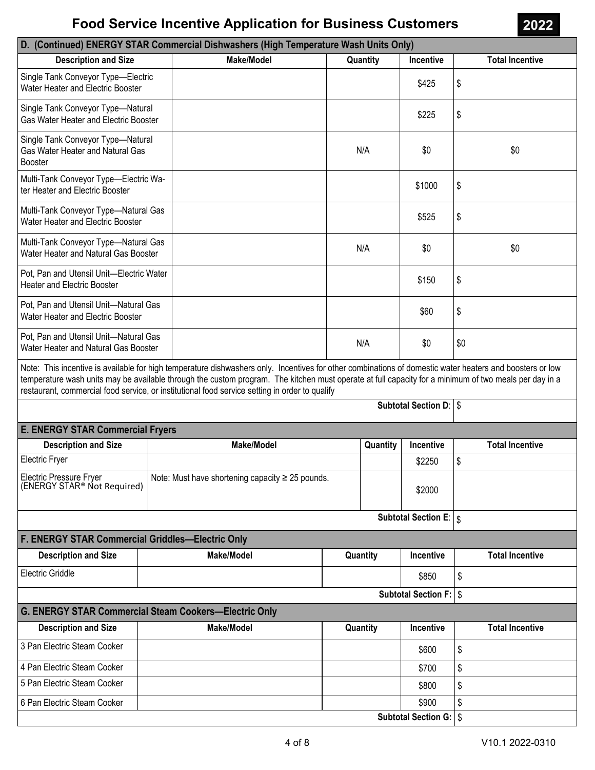## D. (Continued) ENERGY STAR Commercial Dishwashers (High Temperature Wash Units Only)

| <b>Description and Size</b>                                                             |                                                                                             | <b>Make/Model</b>                                                                                                                                                                                                                                                                                                                                                                                                   |  | Quantity | Incentive                       | <b>Total Incentive</b> |
|-----------------------------------------------------------------------------------------|---------------------------------------------------------------------------------------------|---------------------------------------------------------------------------------------------------------------------------------------------------------------------------------------------------------------------------------------------------------------------------------------------------------------------------------------------------------------------------------------------------------------------|--|----------|---------------------------------|------------------------|
| Single Tank Conveyor Type-Electric<br>Water Heater and Electric Booster                 |                                                                                             |                                                                                                                                                                                                                                                                                                                                                                                                                     |  |          | \$425                           | \$                     |
| Single Tank Conveyor Type-Natural<br>Gas Water Heater and Electric Booster              |                                                                                             |                                                                                                                                                                                                                                                                                                                                                                                                                     |  |          | \$225                           | \$                     |
| Single Tank Conveyor Type-Natural<br>Gas Water Heater and Natural Gas<br><b>Booster</b> |                                                                                             |                                                                                                                                                                                                                                                                                                                                                                                                                     |  | N/A      | \$0                             | \$0                    |
| Multi-Tank Conveyor Type-Electric Wa-<br>ter Heater and Electric Booster                |                                                                                             |                                                                                                                                                                                                                                                                                                                                                                                                                     |  |          | \$1000                          | \$                     |
| Multi-Tank Conveyor Type-Natural Gas<br>Water Heater and Electric Booster               |                                                                                             |                                                                                                                                                                                                                                                                                                                                                                                                                     |  |          | \$525                           | \$                     |
| Multi-Tank Conveyor Type-Natural Gas<br>Water Heater and Natural Gas Booster            |                                                                                             |                                                                                                                                                                                                                                                                                                                                                                                                                     |  | N/A      | \$0                             | \$0                    |
| Pot, Pan and Utensil Unit-Electric Water<br><b>Heater and Electric Booster</b>          |                                                                                             |                                                                                                                                                                                                                                                                                                                                                                                                                     |  |          | \$150                           | \$                     |
| Pot, Pan and Utensil Unit-Natural Gas<br>Water Heater and Electric Booster              |                                                                                             |                                                                                                                                                                                                                                                                                                                                                                                                                     |  |          | \$60                            | \$                     |
|                                                                                         | Pot, Pan and Utensil Unit-Natural Gas<br>N/A<br>\$0<br>Water Heater and Natural Gas Booster |                                                                                                                                                                                                                                                                                                                                                                                                                     |  |          | \$0                             |                        |
|                                                                                         |                                                                                             | Note: This incentive is available for high temperature dishwashers only. Incentives for other combinations of domestic water heaters and boosters or low<br>temperature wash units may be available through the custom program. The kitchen must operate at full capacity for a minimum of two meals per day in a<br>restaurant, commercial food service, or institutional food service setting in order to qualify |  |          |                                 |                        |
|                                                                                         |                                                                                             |                                                                                                                                                                                                                                                                                                                                                                                                                     |  |          | <b>Subtotal Section D:   \$</b> |                        |
| <b>E. ENERGY STAR Commercial Fryers</b>                                                 |                                                                                             |                                                                                                                                                                                                                                                                                                                                                                                                                     |  |          |                                 |                        |
| <b>Description and Size</b>                                                             |                                                                                             | <b>Make/Model</b>                                                                                                                                                                                                                                                                                                                                                                                                   |  | Quantity | Incentive                       | <b>Total Incentive</b> |
| <b>Electric Fryer</b>                                                                   |                                                                                             |                                                                                                                                                                                                                                                                                                                                                                                                                     |  |          | \$2250                          | \$                     |
| Electric Pressure Fryer<br>(ENERGY STAR® Not Required)                                  |                                                                                             | Note: Must have shortening capacity $\geq$ 25 pounds.                                                                                                                                                                                                                                                                                                                                                               |  |          | \$2000                          |                        |
|                                                                                         |                                                                                             |                                                                                                                                                                                                                                                                                                                                                                                                                     |  |          | Subtotal Section E:   \$        |                        |
| <b>F. ENERGY STAR Commercial Griddles-Electric Only</b>                                 |                                                                                             |                                                                                                                                                                                                                                                                                                                                                                                                                     |  |          |                                 |                        |
| <b>Description and Size</b>                                                             | <b>Make/Model</b><br>Quantity<br>Incentive                                                  |                                                                                                                                                                                                                                                                                                                                                                                                                     |  |          |                                 | <b>Total Incentive</b> |
| Electric Griddle                                                                        |                                                                                             |                                                                                                                                                                                                                                                                                                                                                                                                                     |  |          | \$850                           | \$                     |
| Subtotal Section F:   \$                                                                |                                                                                             |                                                                                                                                                                                                                                                                                                                                                                                                                     |  |          |                                 |                        |
| <b>G. ENERGY STAR Commercial Steam Cookers-Electric Only</b>                            |                                                                                             |                                                                                                                                                                                                                                                                                                                                                                                                                     |  |          |                                 |                        |
| <b>Description and Size</b>                                                             |                                                                                             | <b>Make/Model</b>                                                                                                                                                                                                                                                                                                                                                                                                   |  | Quantity | Incentive                       | <b>Total Incentive</b> |
| 3 Pan Electric Steam Cooker                                                             |                                                                                             |                                                                                                                                                                                                                                                                                                                                                                                                                     |  |          | \$600                           | \$                     |
| 4 Pan Electric Steam Cooker                                                             |                                                                                             |                                                                                                                                                                                                                                                                                                                                                                                                                     |  |          | \$700                           | \$                     |
| 5 Pan Electric Steam Cooker                                                             |                                                                                             |                                                                                                                                                                                                                                                                                                                                                                                                                     |  |          | \$800                           | \$                     |
| 6 Pan Electric Steam Cooker                                                             |                                                                                             |                                                                                                                                                                                                                                                                                                                                                                                                                     |  |          | \$900                           | \$                     |
| Subtotal Section G:   \$                                                                |                                                                                             |                                                                                                                                                                                                                                                                                                                                                                                                                     |  |          |                                 |                        |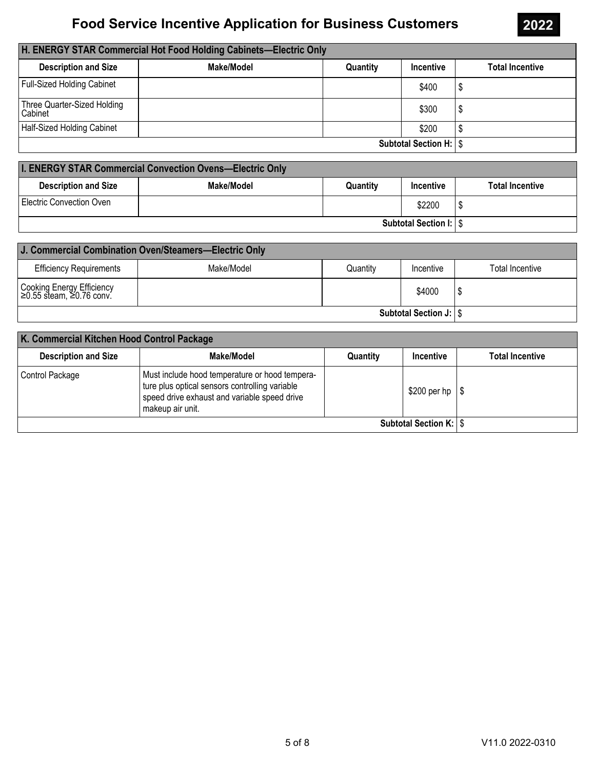| H. ENERGY STAR Commercial Hot Food Holding Cabinets-Electric Only |            |          |                  |                        |  |
|-------------------------------------------------------------------|------------|----------|------------------|------------------------|--|
| <b>Description and Size</b>                                       | Make/Model | Quantity | <b>Incentive</b> | <b>Total Incentive</b> |  |
| Full-Sized Holding Cabinet                                        |            |          | \$400            |                        |  |
| Three Quarter-Sized Holding<br>Cabinet                            |            |          | \$300            |                        |  |
| Half-Sized Holding Cabinet                                        |            |          | \$200            |                        |  |
| <b>Subtotal Section H:   \$</b>                                   |            |          |                  |                        |  |

| <b>I. ENERGY STAR Commercial Convection Ovens-Electric Only</b> |            |          |           |                        |
|-----------------------------------------------------------------|------------|----------|-----------|------------------------|
| <b>Description and Size</b>                                     | Make/Model | Quantity | Incentive | <b>Total Incentive</b> |
| Electric Convection Oven                                        |            |          | \$2200    |                        |
| <b>Subtotal Section I:   \$</b>                                 |            |          |           |                        |

| J. Commercial Combination Oven/Steamers-Electric Only |            |          |           |                 |  |
|-------------------------------------------------------|------------|----------|-----------|-----------------|--|
| <b>Efficiency Requirements</b>                        | Make/Model | Quantity | Incentive | Total Incentive |  |
| Cooking Energy Efficiency<br>20.55 steam, ≥0.76 conv. |            |          | \$4000    |                 |  |
| Subtotal Section J:   \$                              |            |          |           |                 |  |

| K. Commercial Kitchen Hood Control Package |                                                                                                                                                                      |          |               |                        |  |
|--------------------------------------------|----------------------------------------------------------------------------------------------------------------------------------------------------------------------|----------|---------------|------------------------|--|
| <b>Description and Size</b>                | Make/Model                                                                                                                                                           | Quantity | Incentive     | <b>Total Incentive</b> |  |
| Control Package                            | Must include hood temperature or hood tempera-<br>ture plus optical sensors controlling variable<br>speed drive exhaust and variable speed drive<br>makeup air unit. |          | $$200$ per hp |                        |  |
| <b>Subtotal Section K:   \$</b>            |                                                                                                                                                                      |          |               |                        |  |

2022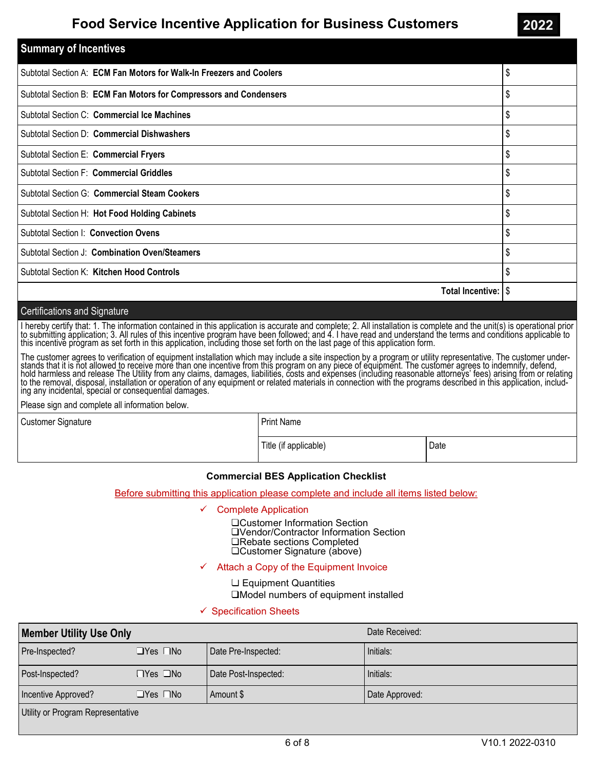| <b>Summary of Incentives</b>                                        |    |  |  |
|---------------------------------------------------------------------|----|--|--|
| Subtotal Section A: ECM Fan Motors for Walk-In Freezers and Coolers |    |  |  |
| Subtotal Section B: ECM Fan Motors for Compressors and Condensers   |    |  |  |
| Subtotal Section C: Commercial Ice Machines                         |    |  |  |
| Subtotal Section D: Commercial Dishwashers                          |    |  |  |
| Subtotal Section E: Commercial Fryers                               |    |  |  |
| \$<br><b>Subtotal Section F: Commercial Griddles</b>                |    |  |  |
| \$<br>Subtotal Section G: Commercial Steam Cookers                  |    |  |  |
| \$<br>Subtotal Section H: Hot Food Holding Cabinets                 |    |  |  |
| Subtotal Section I: Convection Ovens                                |    |  |  |
| Subtotal Section J: Combination Oven/Steamers                       |    |  |  |
| <b>Subtotal Section K: Kitchen Hood Controls</b>                    | \$ |  |  |
| Total Incentive: \$                                                 |    |  |  |

#### Certifications and Signature

I hereby certify that: 1. The information contained in this application is accurate and complete; 2. All installation is complete and the unit(s) is operational prior to submitting application; 3. All rules of this incentive program have been followed; and 4. I have read and understand the terms and conditions applicable to this incentive program as set forth in this application, including those set forth on the last page of this application form.

The customer agrees to verification of equipment installation which may include a site inspection by a program or utility representative. The customer understands that it is not allowed to receive more than one incentive from this program on any piece of equipment. The customer agrees to indemnify, defend, hold harmless and release The Utility from any claims, damages, liabilities, costs and expenses (including reasonable attorneys' fees) arising from or relating to the removal, disposal, installation or operation of any equipment or related materials in connection with the programs described in this application, including any incidental, special or consequential damages.

Please sign and complete all information below.

Customer Signature

Print Name

Title (if applicable) and the Date of Date of Date of Date of Date of Date of Date of Date of Date of Date of Date of Date of Date of Date of Date of Date of Date of Date of Date of Date of Date of Date of Date of Date of

#### Commercial BES Application Checklist

Before submitting this application please complete and include all items listed below:

- Complete Application
	- □Customer Information Section □Vendor/Contractor Information Section **⊔Rebate sections Completed**  $\square$ Customer Signature (above)

#### Attach a Copy of the Equipment Invoice

 $\sqcup$  Equipment Quantities

 $\Box$ Model numbers of equipment installed

#### $\checkmark$  Specification Sheets

| <b>Member Utility Use Only</b> |                      |                      | Date Received: |
|--------------------------------|----------------------|----------------------|----------------|
| Pre-Inspected?                 | $\Box$ Yes $\Box$ No | Date Pre-Inspected:  | Initials:      |
| Post-Inspected?                | ⊟Yes ∟No             | Date Post-Inspected: | Initials:      |
| Incentive Approved?            | $\Box$ Yes $\Box$ No | Amount \$            | Date Approved: |

Utility or Program Representative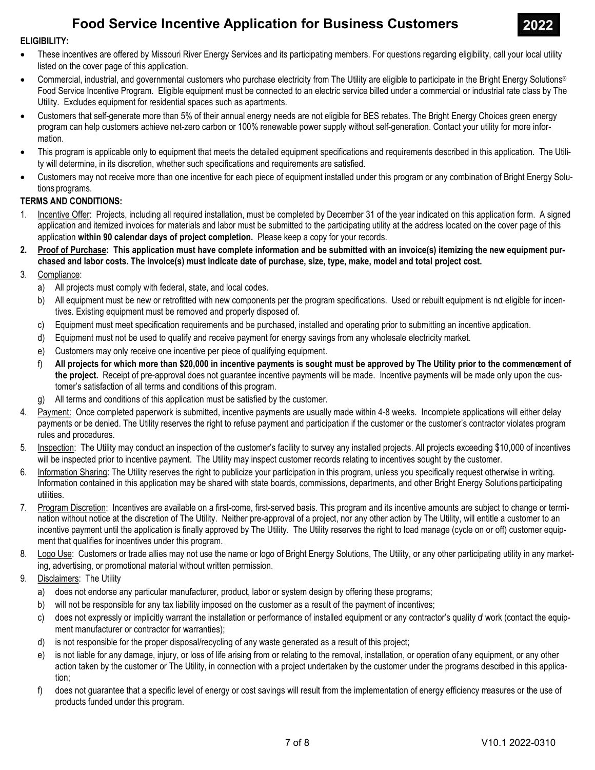### ELIGIBILITY:

- · These incentives are offered by Missouri River Energy Services and its participating members. For questions regarding eligibility, call your local utility listed on the cover page of this application.
- · Commercial, industrial, and governmental customers who purchase electricity from The Utility are eligible to participate in the Bright Energy Solutions® Food Service Incentive Program. Eligible equipment must be connected to an electric service billed under a commercial or industrial rate class by The Utility. Excludes equipment for residential spaces such as apartments.
- · Customers that self-generate more than 5% of their annual energy needs are not eligible for BES rebates. The Bright Energy Choices green energy program can help customers achieve net-zero carbon or 100% renewable power supply without self-generation. Contact your utility for more information.
- · This program is applicable only to equipment that meets the detailed equipment specifications and requirements described in this application. The Utility will determine, in its discretion, whether such specifications and requirements are satisfied.
- · Customers may not receive more than one incentive for each piece of equipment installed under this program or any combination of Bright Energy Solutions programs.

### TERMS AND CONDITIONS:

- 1. Incentive Offer: Projects, including all required installation, must be completed by December 31 of the year indicated on this application form. A signed application and itemized invoices for materials and labor must be submitted to the participating utility at the address located on the cover page of this application within 90 calendar days of project completion. Please keep a copy for your records.
- 2. Proof of Purchase: This application must have complete information and be submitted with an invoice(s) itemizing the new equipment purchased and labor costs. The invoice(s) must indicate date of purchase, size, type, make, model and total project cost.
- 3. Compliance:
	- a) All projects must comply with federal, state, and local codes.
	- b) All equipment must be new or retrofitted with new components per the program specifications. Used or rebuilt equipment is nd eligible for incentives. Existing equipment must be removed and properly disposed of.
	- c) Equipment must meet specification requirements and be purchased, installed and operating prior to submitting an incentive application.
	- d) Equipment must not be used to qualify and receive payment for energy savings from any wholesale electricity market.
	- e) Customers may only receive one incentive per piece of qualifying equipment.
	- f) All projects for which more than \$20,000 in incentive payments is sought must be approved by The Utility prior to the commencement of the project. Receipt of pre-approval does not guarantee incentive payments will be made. Incentive payments will be made only upon the customer's satisfaction of all terms and conditions of this program.
	- g) All terms and conditions of this application must be satisfied by the customer.
- 4. Payment: Once completed paperwork is submitted, incentive payments are usually made within 4-8 weeks. Incomplete applications will either delay payments or be denied. The Utility reserves the right to refuse payment and participation if the customer or the customer's contractor violates program rules and procedures.
- 5. Inspection: The Utility may conduct an inspection of the customer's facility to survey any installed projects. All projects exceeding \$10,000 of incentives will be inspected prior to incentive payment. The Utility may inspect customer records relating to incentives sought by the customer.
- 6. Information Sharing: The Utility reserves the right to publicize your participation in this program, unless you specifically request otherwise in writing. Information contained in this application may be shared with state boards, commissions, departments, and other Bright Energy Solutions participating utilities.
- 7. Program Discretion: Incentives are available on a first-come, first-served basis. This program and its incentive amounts are subject to change or termination without notice at the discretion of The Utility. Neither pre-approval of a project, nor any other action by The Utility, will entitle a customer to an incentive payment until the application is finally approved by The Utility. The Utility reserves the right to load manage (cycle on or off) customer equipment that qualifies for incentives under this program.
- 8. Logo Use: Customers or trade allies may not use the name or logo of Bright Energy Solutions, The Utility, or any other participating utility in any marketing, advertising, or promotional material without written permission.
- 9. Disclaimers: The Utility
	- a) does not endorse any particular manufacturer, product, labor or system design by offering these programs;
	- b) will not be responsible for any tax liability imposed on the customer as a result of the payment of incentives;
	- c) does not expressly or implicitly warrant the installation or performance of installed equipment or any contractor's quality of work (contact the equipment manufacturer or contractor for warranties);
	- d) is not responsible for the proper disposal/recycling of any waste generated as a result of this project;
	- e) is not liable for any damage, injury, or loss of life arising from or relating to the removal, installation, or operation of any equipment, or any other action taken by the customer or The Utility, in connection with a project undertaken by the customer under the programs described in this application;
	- f) does not guarantee that a specific level of energy or cost savings will result from the implementation of energy efficiency measures or the use of products funded under this program.